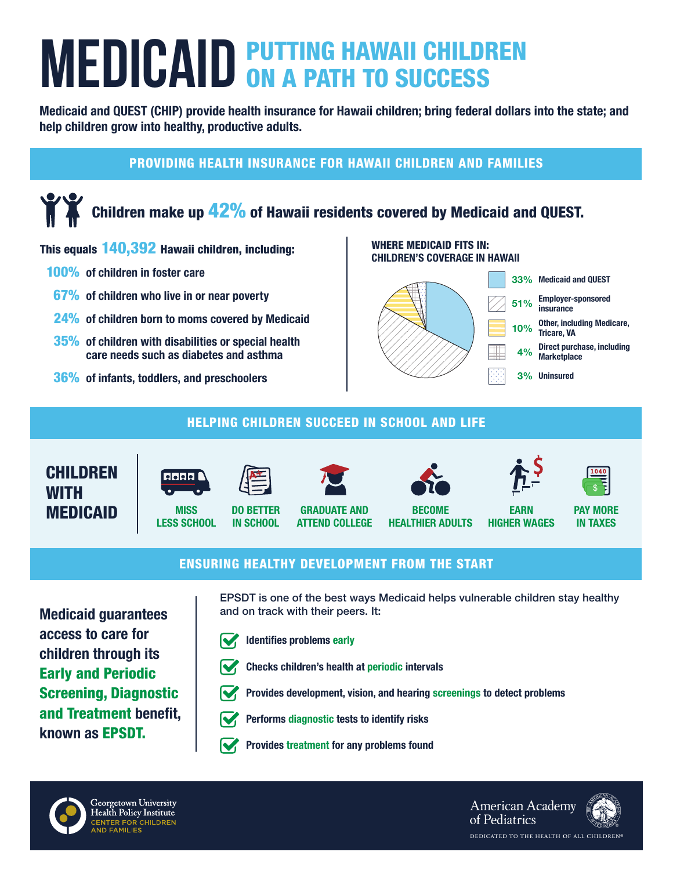# **MEDICAID PUTTING HAWAII CHILDREN MEDICAID ON A PATH TO SUCCESS**

Medicaid and QUEST (CHIP) provide health insurance for Hawaii children; bring federal dollars into the state; and help children grow into healthy, productive adults.

### PROVIDING HEALTH INSURANCE FOR HAWAII CHILDREN AND FAMILIES

# Children make up 42% of Hawaii residents covered by Medicaid and QUEST.

#### This equals 140,392 Hawaii children, including:

- 100% of children in foster care
- 67% of children who live in or near poverty
- 24% of children born to moms covered by Medicaid
- 35% of children with disabilities or special health care needs such as diabetes and asthma
- 36% of infants, toddlers, and preschoolers

#### WHERE MEDICAID FITS IN: CHILDREN'S COVERAGE IN HAWAII



#### HELPING CHILDREN SUCCEED IN SCHOOL AND LIFE





**MISS** LESS SCHOOL









EARN HIGHER WAGES



PAY MORE IN TAXES

#### ENSURING HEALTHY DEVELOPMENT FROM THE START

Medicaid guarantees access to care for children through its Early and Periodic Screening, Diagnostic and Treatment benefit, known as EPSDT.

EPSDT is one of the best ways Medicaid helps vulnerable children stay healthy and on track with their peers. It:

Provides development, vision, and hearing screenings to detect problems



Identifies problems early



- Checks children's health at periodic intervals
- 



- Performs diagnostic tests to identify risks
- Provides treatment for any problems found



**American Academy** of Pediatrics DEDICATED TO THE HEALTH OF ALL CHILDREN®